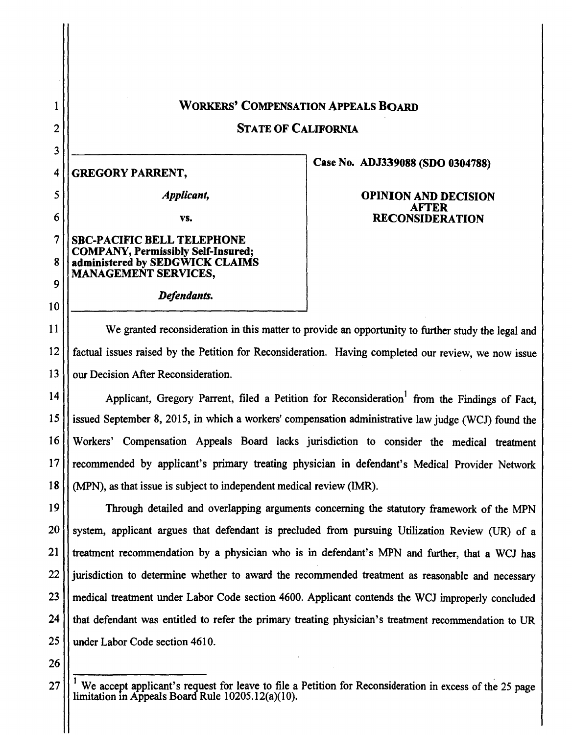# WORKERS' COMPENSATION APPEALS BOARD

STATE OF CALIFORNIA

# 4 GREGORY PARRENT,

1

2

3

5

6

10

*Applicant,* 

vs.

*Defendants.* 

## 7 SBC-PACIFIC BELL TELEPHONE COMPANY, Permissibly Self-Insured; 8 administered by SEDGWICK CLAIMS MANAGEMENT SERVICES, 9

Case No. ADJ339088 (SDO 0304788)

## OPINION AND DECISION AFTER RECONSIDERATION

11 We granted reconsideration in this matter to provide an opportunity to further study the legal and 12 factual issues raised by the Petition for Reconsideration. Having completed our review, we now issue 13 | our Decision After Reconsideration.

14  $\vert$  Applicant, Gregory Parrent, filed a Petition for Reconsideration from the Findings of Fact, 15 issued September 8, 2015, in which a workers' compensation administrative law judge (WCJ) found the 16 Workers' Compensation Appeals Board lacks jurisdiction to consider the medical treatment 17 | recommended by applicant's primary treating physician in defendant's Medical Provider Network 18 (MPN), as that issue is subject to independent medical review (IMR).

19 Through detailed and overlapping arguments concerning the statutory framework of the MPN  $20$  System, applicant argues that defendant is precluded from pursuing Utilization Review (UR) of a 21 treatment recommendation by a physician who is in defendant's MPN and further, that a WCJ has 22 | urisdiction to determine whether to award the recommended treatment as reasonable and necessary 23 || medical treatment under Labor Code section 4600. Applicant contends the WCJ improperly concluded 24 | that defendant was entitled to refer the primary treating physician's treatment recommendation to UR 25 | under Labor Code section 4610.

26

 $27$  || $\cdot$  We accept applicant's request for leave to file a Petition for Reconsideration in excess of the 25 page limitation m Appeals Board Rule 10205.12(a)(l0).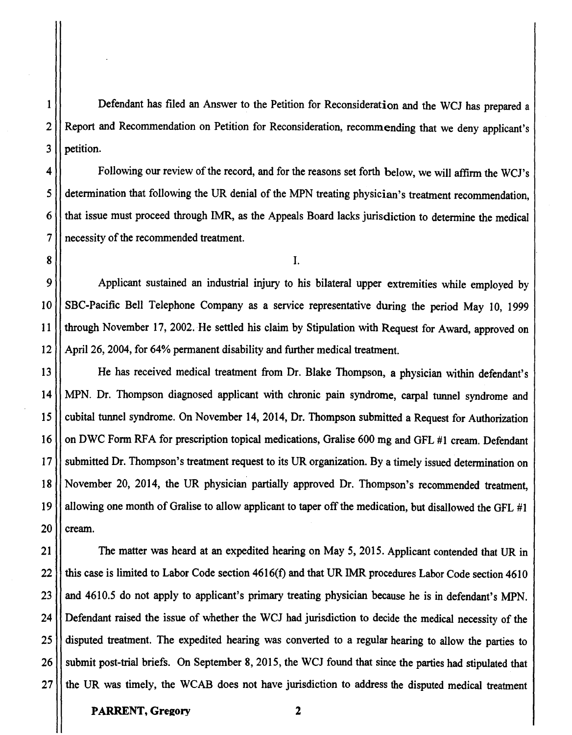1 Defendant has filed an Answer to the Petition for Reconsideration and the WCJ has prepared a 2 | Report and Recommendation on Petition for Reconsideration, recommending that we deny applicant's 3 Il petition.

4 | Following our review of the record, and for the reasons set forth below, we will affirm the WCJ's 5 determination that following the UR denial of the MPN treating physician's treatment recommendation, 6 that issue must proceed through IMR, as the Appeals Board lacks jurisdiction to determine the medical 7 | necessity of the recommended treatment.

9 Applicant sustained an industrial injury to his bilateral upper extremities while employed by 10 SBC-Pacific Bell Telephone Company as a service representative during the period May 10, 1999 11 through November 17, 2002. He settled his claim by Stipulation with Request for Award, approved on 12 April 26, 2004, for 64% permanent disability and further medical treatment.

13 He has received medical treatment from Dr. Blake Thompson, a physician within defendant's 14 MPN. Dr. Thompson diagnosed applicant with chronic pain syndrome, carpal tunnel syndrome and 15 | cubital tunnel syndrome. On November 14, 2014, Dr. Thompson submitted a Request for Authorization 16 | on DWC Form RFA for prescription topical medications, Gralise 600 mg and GFL #1 cream. Defendant 17 | submitted Dr. Thompson's treatment request to its UR organization. By a timely issued determination on 18 November 20, 2014, the UR physician partially approved Dr. Thompson's recommended treatment, 19  $\vert\vert$  allowing one month of Gralise to allow applicant to taper off the medication, but disallowed the GFL #1  $20$  | cream.

21 | The matter was heard at an expedited hearing on May 5, 2015. Applicant contended that UR in  $22$  | this case is limited to Labor Code section 4616(f) and that UR IMR procedures Labor Code section 4610 23 || and 4610.5 do not apply to applicant's primary treating physician because he is in defendant's MPN. 24 Defendant raised the issue of whether the WCJ had jurisdiction to decide the medical necessity of the 25 disputed treatment. The expedited hearing was converted to a regular hearing to allow the parties to 26 | submit post-trial briefs. On September 8, 2015, the WCJ found that since the parties had stipulated that 27 the UR was timely, the WCAB does not have jurisdiction to address the disputed medical treatment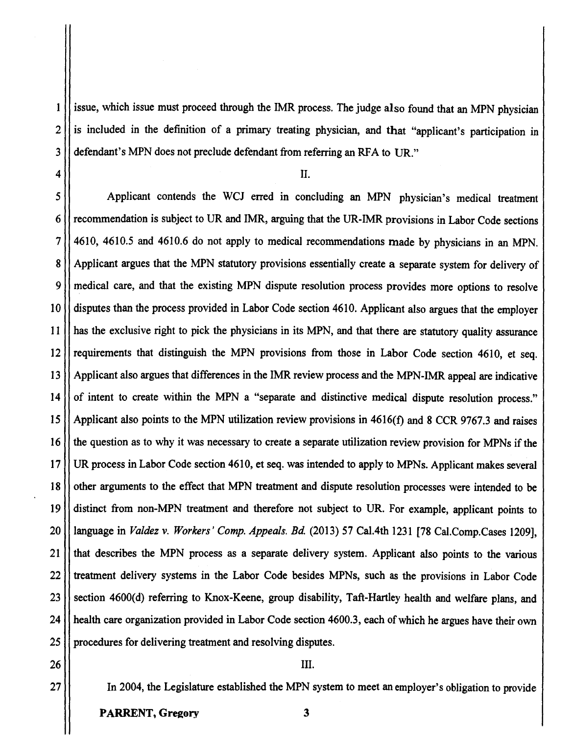1 | issue, which issue must proceed through the IMR process. The judge also found that an MPN physician  $2 \mid \mid$  is included in the definition of a primary treating physician, and that "applicant's participation in 3 defendant's MPN does not preclude defendant from referring an RFA to UR."

 $\left\{ \begin{array}{c} 4 \end{array} \right\}$  II.

5 Applicant contends the WCJ erred in concluding an MPN physician's medical treatment 6 recommendation is subject to UR and IMR, arguing that the UR-IMR provisions in Labor Code sections  $7$  | 4610, 4610.5 and 4610.6 do not apply to medical recommendations made by physicians in an MPN. 8 | Applicant argues that the MPN statutory provisions essentially create a separate system for delivery of 9 medical care, and that the existing MPN dispute resolution process provides more options to resolve 10 disputes than the process provided in Labor Code section 4610. Applicant also argues that the employer 11 has the exclusive right to pick the physicians in its MPN, and that there are statutory quality assurance 12 || requirements that distinguish the MPN provisions from those in Labor Code section 4610, et seq. 13 Applicant also argues that differences in the IMR review process and the MPN-IMR appeal are indicative 14 | of intent to create within the MPN a "separate and distinctive medical dispute resolution process." 15 Applicant also points to the MPN utilization review provisions in 4616(f) and 8 CCR 9767.3 and raises 16 | the question as to why it was necessary to create a separate utilization review provision for MPNs if the 17 UR process in Labor Code section 4610, et seq. was intended to apply to MPNs. Applicant makes several 18 | | other arguments to the effect that MPN treatment and dispute resolution processes were intended to be 19 distinct from non-MPN treatment and therefore not subject to UR. For example, applicant points to 20 language in *Valdez* v. *Workers' Comp. Appeals. Bd.* (2013) 57 Cal.4th 1231 [78 Cal.Comp.Cases 1209], 21 that describes the MPN process as a separate delivery system. Applicant also points to the various 22 Treatment delivery systems in the Labor Code besides MPNs, such as the provisions in Labor Code 23 Section 4600(d) referring to Knox-Keene, group disability, Taft-Hartley health and welfare plans, and 24 | health care organization provided in Labor Code section 4600.3, each of which he argues have their own 25 | procedures for delivering treatment and resolving disputes.

 $26$  ||  $\Box$ 

27 In 2004, the Legislature established the MPN system to meet an employer's obligation to provide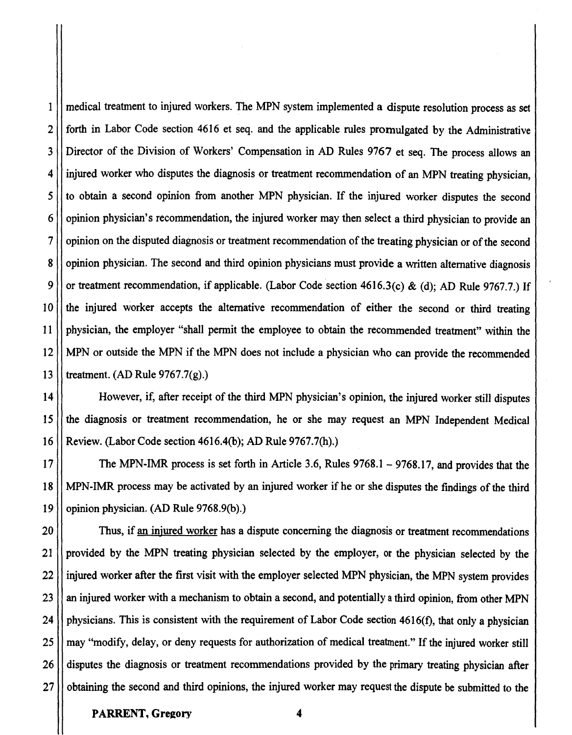I medical treatment to injured workers. The MPN system implemented a dispute resolution process as set 2<sup>|</sup> forth in Labor Code section 4616 et seq. and the applicable rules promulgated by the Administrative 3 Director of the Division of Workers' Compensation in AD Rules 9767 et seq. The process allows an 4 | injured worker who disputes the diagnosis or treatment recommendation of an MPN treating physician, 5 | to obtain a second opinion from another MPN physician. If the injured worker disputes the second  $6$  | | opinion physician's recommendation, the injured worker may then select a third physician to provide an  $7$  | | opinion on the disputed diagnosis or treatment recommendation of the treating physician or of the second 8 | opinion physician. The second and third opinion physicians must provide a written alternative diagnosis 9  $\vert$  or treatment recommendation, if applicable. (Labor Code section 4616.3(c) & (d); AD Rule 9767.7.) If 10 the injured worker accepts the alternative recommendation of either the second or third treating 11 physician, the employer "shall permit the employee to obtain the recommended treatment" within the 12 MPN or outside the MPN if the MPN does not include a physician who can provide the recommended 13  $\mathbf{l}$  treatment. (AD Rule 9767.7(g).)

14 However, if, after receipt of the third MPN physician's opinion, the injured worker still disputes 15 the diagnosis or treatment recommendation, he or she may request an MPN Independent Medical 16 Review. (Labor Code section 4616.4(b); AD Rule 9767.7(h).)

17 The MPN-IMR process is set forth in Article 3.6, Rules 9768.l - 9768.17, and provides that the 18 MPN-IMR process may be activated by an injured worker if he or she disputes the findings of the third 19 | opinion physician. (AD Rule 9768.9(b).)

20 | Thus, if an injured worker has a dispute concerning the diagnosis or treatment recommendations 21 provided by the MPN treating physician selected by the employer, or the physician selected by the 22 | injured worker after the first visit with the employer selected MPN physician, the MPN system provides 23 || an injured worker with a mechanism to obtain a second, and potentially a third opinion, from other MPN 24  $\vert\vert$  physicians. This is consistent with the requirement of Labor Code section 4616(f), that only a physician 25 || may "modify, delay, or deny requests for authorization of medical treatment." If the injured worker still 26 ll disputes the diagnosis or treatment recommendations provided by the primary treating physician after 27  $\vert\vert$  obtaining the second and third opinions, the injured worker may request the dispute be submitted to the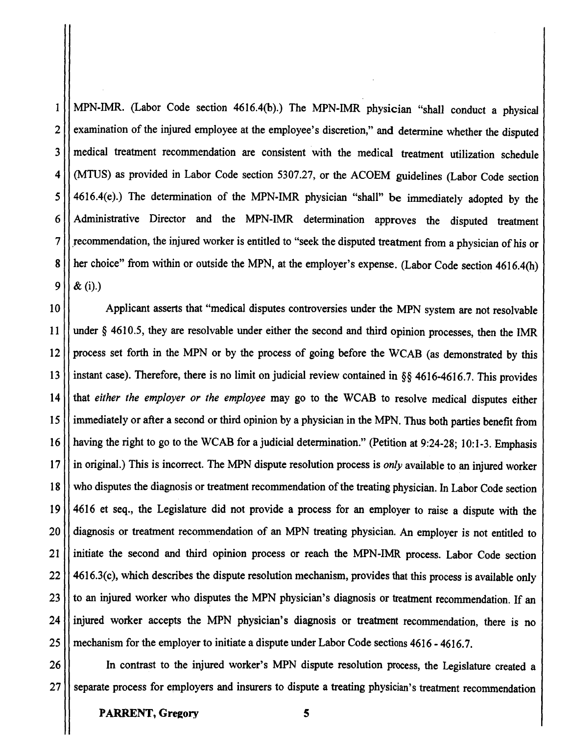$1$  MPN-IMR. (Labor Code section 4616.4(b).) The MPN-IMR physician "shall conduct a physical 2 | examination of the injured employee at the employee's discretion," and determine whether the disputed 3 | medical treatment recommendation are consistent with the medical treatment utilization schedule 4 (MTUS) as provided in Labor Code section 5307.27, or the ACOEM guidelines (Labor Code section  $5$  | 4616.4(e).) The determination of the MPN-IMR physician "shall" be immediately adopted by the 6 Administrative Director and the MPN-IMR determination approves the disputed treatment 7  $\vert\vert$  recommendation, the injured worker is entitled to "seek the disputed treatment from a physician of his or 8  $\vert$  her choice" from within or outside the MPN, at the employer's expense. (Labor Code section 4616.4(h)  $9 \mid x(i)$ .)

10 | Applicant asserts that "medical disputes controversies under the MPN system are not resolvable 11 under§ 4610.5, they are resolvable under either the second and third opinion processes, then the IMR 12 || process set forth in the MPN or by the process of going before the WCAB (as demonstrated by this 13 | instant case). Therefore, there is no limit on judicial review contained in §§ 4616-4616.7. This provides 14 that *either the employer or the employee* may go to the WCAB to resolve medical disputes either 15 immediately or after a second or third opinion by a physician in the MPN. Thus both parties benefit from 16 having the right to go to the WCAB for a judicial determination." (Petition at 9:24-28; 10:1-3. Emphasis 17 in original.) This is incorrect. The MPN dispute resolution process is *only* available to an injured worker 18 Who disputes the diagnosis or treatment recommendation of the treating physician. In Labor Code section 19 4616 et seq., the Legislature did not provide a process for an employer to raise a dispute with the 20  $\vert\vert$  diagnosis or treatment recommendation of an MPN treating physician. An employer is not entitled to 21 | initiate the second and third opinion process or reach the MPN-IMR process. Labor Code section 22 4616.3(c), which describes the dispute resolution mechanism, provides that this process is available only 23 || to an injured worker who disputes the MPN physician's diagnosis or treatment recommendation. If an 24 injured worker accepts the MPN physician's diagnosis or treatment recommendation, there is no 25 | mechanism for the employer to initiate a dispute under Labor Code sections 4616 - 4616.7.

26 In contrast to the injured worker's MPN dispute resolution process, the Legislature created a 27 Separate process for employers and insurers to dispute a treating physician's treatment recommendation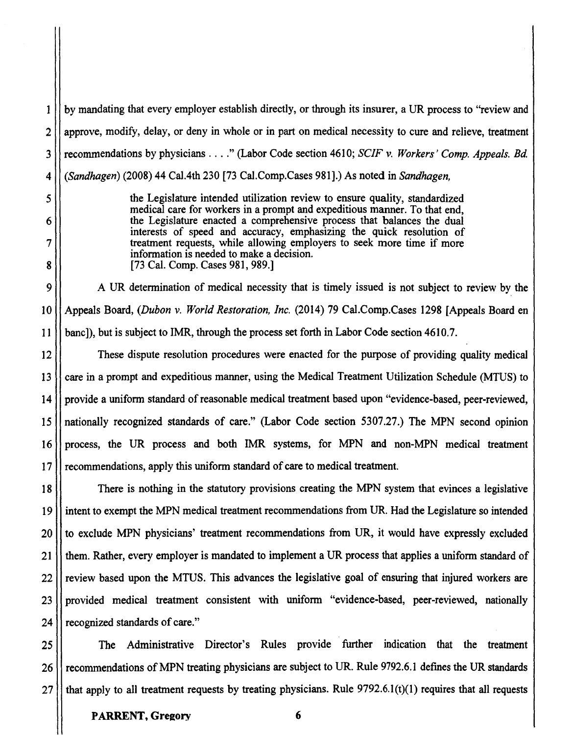1 by mandating that every employer establish directly, or through its insurer, a UR process to "review and  $2$  | approve, modify, delay, or deny in whole or in part on medical necessity to cure and relieve, treatment 3 recommendations by physicians .... " (Labor Code section 4610; *SCIF* v. *Workers' Comp. Appeals. Bd*  4 *(Sandhagen)* (2008) 44 Cal.4th 230 [73 Cal.Comp.Cases 981].) As noted in *Sandhagen,* 

*5* the Legislature intended utilization review to ensure quality, standardized medical care for workers in a prompt and expeditious manner. To that end, 6 the Legislature enacted a comprehensive process that balances the dual interests of speed and accuracy, emphasizing the quick resolution of 7 treatment requests, while allowing employers to seek more time if more information is needed to make a decision. 8 [73 Cal. Comp. Cases 981, 989.]

9 | A UR determination of medical necessity that is timely issued is not subject to review by the 10 Appeals Board, *(Dubon* v. *World Restoration, Inc.* (2014) 79 Cal.Comp.Cases 1298 [Appeals Board en 11 bane]), but is subject to IMR, through the process set forth in Labor Code section 4610.7.

12 These dispute resolution procedures were enacted for the purpose of providing quality medical 13 eare in a prompt and expeditious manner, using the Medical Treatment Utilization Schedule (MTUS) to  $14$  provide a uniform standard of reasonable medical treatment based upon "evidence-based, peer-reviewed, 15 nationally recognized standards of care." (Labor Code section 5307.27.) The MPN second opinion 16 process, the UR process and both IMR systems, for MPN and non-MPN medical treatment 17 | recommendations, apply this uniform standard of care to medical treatment.

18 There is nothing in the statutory provisions creating the MPN system that evinces a legislative 19 intent to exempt the MPN medical treatment recommendations from UR. Had the Legislature so intended 20 | to exclude MPN physicians' treatment recommendations from UR, it would have expressly excluded 21 them. Rather, every employer is mandated to implement a UR process that applies a uniform standard of 22 || review based upon the MTUS. This advances the legislative goal of ensuring that injured workers are 23 | provided medical treatment consistent with uniform "evidence-based, peer-reviewed, nationally 24 | recognized standards of care."

25 The Administrative Director's Rules provide further indication that the treatment 26 || recommendations of MPN treating physicians are subject to UR. Rule 9792.6.1 defines the UR standards 27  $\vert\vert$  that apply to all treatment requests by treating physicians. Rule 9792.6.1(t)(1) requires that all requests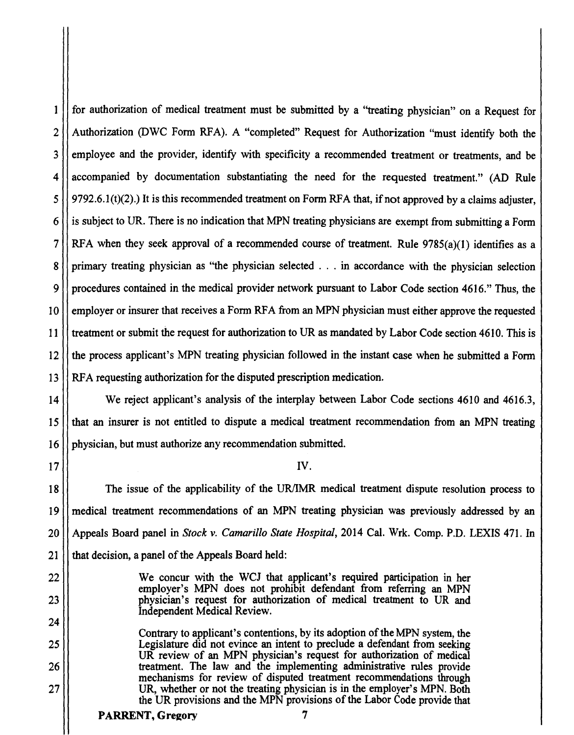1 for authorization of medical treatment must be submitted by a "treating physician" on a Request for 2 | Authorization (DWC Form RFA). A "completed" Request for Authorization "must identify both the 3 II employee and the provider, identify with specificity a recommended treatment or treatments, and be 4 accompanied by documentation substantiating the need for the requested treatment." (AD Rule  $5$  | 9792.6.1(t)(2).) It is this recommended treatment on Form RFA that, if not approved by a claims adjuster,  $6$  is subject to UR. There is no indication that MPN treating physicians are exempt from submitting a Form 7 | RFA when they seek approval of a recommended course of treatment. Rule  $9785(a)(1)$  identifies as a 8 primary treating physician as "the physician selected . . . in accordance with the physician selection 9 procedures contained in the medical provider network pursuant to Labor Code section 4616." Thus, the 10 employer or insurer that receives a Form RFA from an MPN physician must either approve the requested 11 | treatment or submit the request for authorization to UR as mandated by Labor Code section 4610. This is 12 the process applicant's MPN treating physician followed in the instant case when he submitted a Fonn 13 **RFA** requesting authorization for the disputed prescription medication.

14 We reject applicant's analysis of the interplay between Labor Code sections 4610 and 4616.3, 15 that an insurer is not entitled to dispute a medical treatment recommendation from an MPN treating 16 | physician, but must authorize any recommendation submitted.

17 IV.

18 The issue of the applicability of the UR/IMR medical treatment dispute resolution process to 19 medical treatment recommendations of an MPN treating physician was previously addressed by an 20 Appeals Board panel in *Stock v. Camarillo State Hospital,* 2014 Cal. Wrk. Comp. P.D. LEXIS 471. In  $21$  | that decision, a panel of the Appeals Board held:

22 We concur with the WCJ that applicant's required participation in her employer's MPN does not prohibit defendant from referring an MPN 23 physician's request for authorization of medical treatment to UR and Independent Medical Review.

Contrary to applicant's contentions, by its adoption of the MPN system, the 25 Legislature did not evince an intent to preclude a defendant from seeking UR review of an MPN physician's request for authorization of medical 26 | treatment. The law and the implementing administrative rules provide mechanisms for review of disputed treatment recommendations through 27 | UR, whether or not the treating physician is in the employer's MPN. Both the UR provisions and the MPN provisions of the Labor Code provide that

## PARRENT, Gregory 7

24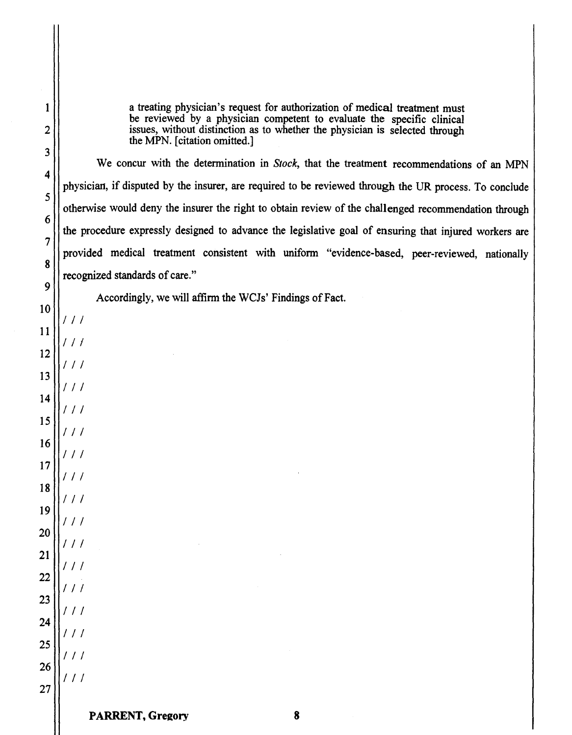a treating physician's request for authorization of medical treatment must be reviewed by a physician competent to evaluate the specific clinical issues, without distinction as to whether the physician is selected through the MPN. [citation omitted.]

We concur with the determination in *Stock,* that the treatment recommendations of an MPN physician, if disputed by the insurer, are required to be reviewed through the UR process. To conclude otherwise would deny the insurer the right to obtain review of the challenged recommendation through the procedure expressly designed to advance the legislative goal of ensuring that injured workers are provided medical treatment consistent with uniform "evidence-based, peer-reviewed, nationally recognized standards of care."

Accordingly, we will affirm the WCJs' Findings of Fact.

*I I I* 

*I I I* 

*I I I* 

*I I I* 

*I I I* 

*I I I* 

*I I I* 

*I I I* 

*I I I* 

*I I I* 

*I I I* 

*I I I* 

*I I I* 

*I I I* 

*I I I* 

*I I I* 

*I I I*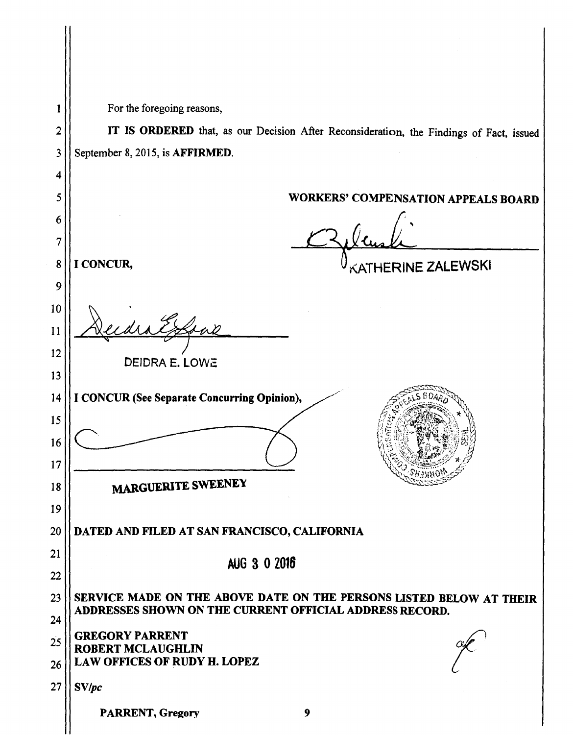|          | For the foregoing reasons,                                                              |
|----------|-----------------------------------------------------------------------------------------|
| 2        | IT IS ORDERED that, as our Decision After Reconsideration, the Findings of Fact, issued |
| 3        | September 8, 2015, is AFFIRMED.                                                         |
| 4        |                                                                                         |
| 5        | <b>WORKERS' COMPENSATION APPEALS BOARD</b>                                              |
| 6        |                                                                                         |
| 7        |                                                                                         |
| 8        | I CONCUR,<br>KATHERINE ZALEWSKI                                                         |
| 9        |                                                                                         |
| 10       |                                                                                         |
| 11       | Soal                                                                                    |
| 12       | DEIDRA E. LOWE                                                                          |
| 13       |                                                                                         |
| 14       | I CONCUR (See Separate Concurring Opinion),                                             |
| 15       |                                                                                         |
| 16       |                                                                                         |
| 17       | MARGUERITE SWEENEY                                                                      |
| 18       |                                                                                         |
| 19<br>20 | DATED AND FILED AT SAN FRANCISCO, CALIFORNIA                                            |
| 21       |                                                                                         |
| 22       | AUG 3 0 2016                                                                            |
| 23       | SERVICE MADE ON THE ABOVE DATE ON THE PERSONS LISTED BELOW AT THEIR                     |
| 24       | ADDRESSES SHOWN ON THE CURRENT OFFICIAL ADDRESS RECORD.                                 |
| 25       | <b>GREGORY PARRENT</b>                                                                  |
| 26       | <b>ROBERT MCLAUGHLIN</b><br><b>LAW OFFICES OF RUDY H. LOPEZ</b>                         |
| 27       | SV/pc                                                                                   |
|          | <b>PARRENT, Gregory</b><br>9                                                            |
|          |                                                                                         |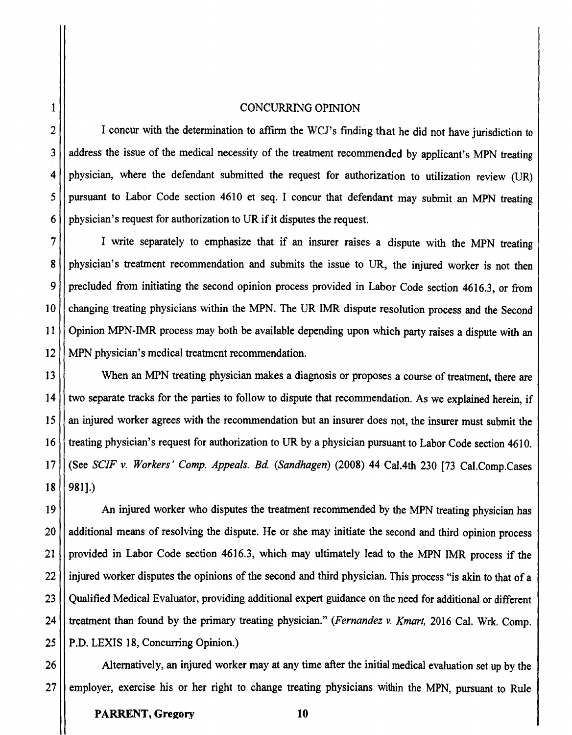### 1 CONCURRING OPINION

2 | I concur with the determination to affirm the WCJ's finding that he did not have jurisdiction to 3 | address the issue of the medical necessity of the treatment recommended by applicant's MPN treating  $4$  physician, where the defendant submitted the request for authorization to utilization review (UR)  $5$  | pursuant to Labor Code section 4610 et seq. I concur that defendant may submit an MPN treating  $6$  | physician's request for authorization to UR if it disputes the request.

7 I write separately to emphasize that if an insurer raises a dispute with the MPN treating 8 physician's treatment recommendation and submits the issue to UR, the injured worker is not then 9 | precluded from initiating the second opinion process provided in Labor Code section 4616.3, or from 10 changing treating physicians within the MPN. The UR IMR dispute resolution process and the Second 11 Opinion MPN-IMR process may both be available depending upon which party raises a dispute with an 12 MPN physician's medical treatment recommendation.

13 When an MPN treating physician makes a diagnosis or proposes a course of treatment, there are 14 \| two separate tracks for the parties to follow to dispute that recommendation. As we explained herein, if 15 an injured worker agrees with the recommendation but an insurer does not, the insurer must submit the 16 treating physician's request for authorization to UR by a physician pursuant to Labor Code section 4610. 17 (See *SCJF v. Workers' Comp. Appeals. Bd. (Sandhagen)* (2008) 44 Cal.4th 230 [73 Cal.Comp.Cases  $18$  | 981].)

19 | An injured worker who disputes the treatment recommended by the MPN treating physician has 20 || additional means of resolving the dispute. He or she may initiate the second and third opinion process 21 | provided in Labor Code section 4616.3, which may ultimately lead to the MPN IMR process if the 22 | injured worker disputes the opinions of the second and third physician. This process "is akin to that of a 23 || Oualified Medical Evaluator, providing additional expert guidance on the need for additional or different 24 treatment than found by the primary treating physician." *(Fernandez v. Kmart,* 2016 Cal. Wrk. Comp. 25 | P.D. LEXIS 18, Concurring Opinion.)

26 | Alternatively, an injured worker may at any time after the initial medical evaluation set up by the 27 employer, exercise his or her right to change treating physicians within the MPN, pursuant to Rule